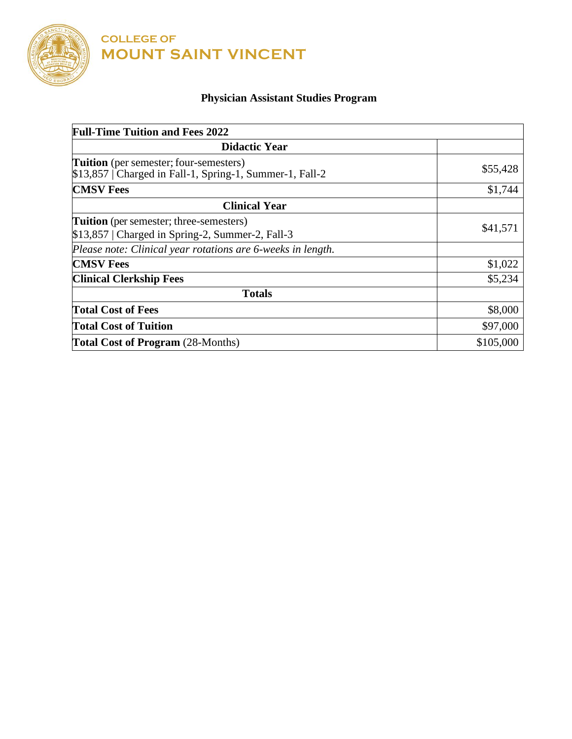

**COLLEGE OF MOUNT SAINT VINCENT**

## **Physician Assistant Studies Program**

| <b>Full-Time Tuition and Fees 2022</b>                                                                     |           |
|------------------------------------------------------------------------------------------------------------|-----------|
| <b>Didactic Year</b>                                                                                       |           |
| <b>Tuition</b> (per semester; four-semesters)<br>$$13,857$   Charged in Fall-1, Spring-1, Summer-1, Fall-2 | \$55,428  |
| <b>CMSV Fees</b>                                                                                           | \$1,744   |
| <b>Clinical Year</b>                                                                                       |           |
| <b>Tuition</b> (per semester; three-semesters)<br>$$13,857$   Charged in Spring-2, Summer-2, Fall-3        | \$41,571  |
| Please note: Clinical year rotations are 6-weeks in length.                                                |           |
| <b>CMSV Fees</b>                                                                                           | \$1,022   |
| <b>Clinical Clerkship Fees</b>                                                                             | \$5,234   |
| <b>Totals</b>                                                                                              |           |
| <b>Total Cost of Fees</b>                                                                                  | \$8,000   |
| <b>Total Cost of Tuition</b>                                                                               | \$97,000  |
| <b>Total Cost of Program</b> (28-Months)                                                                   | \$105,000 |